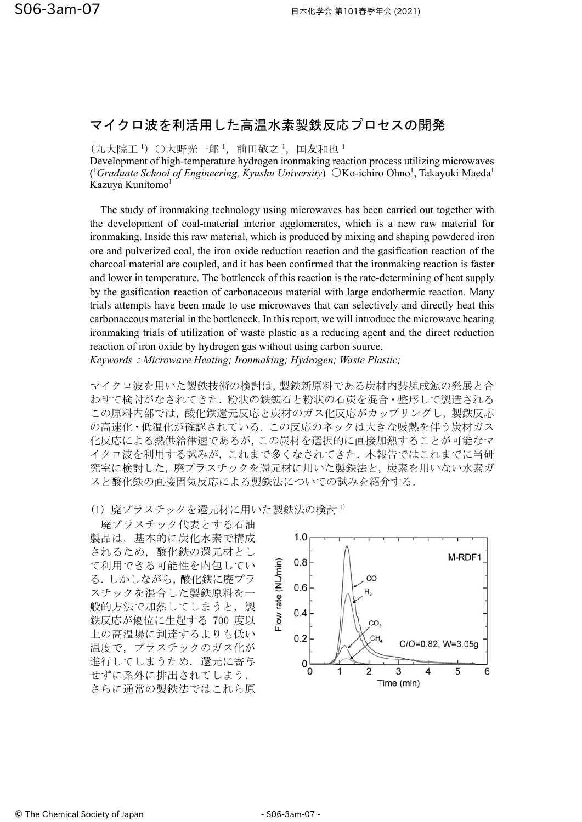## マイクロ波を利活用した高温水素製鉄反応プロセスの開発

(九大院工 ')○大野光一郎 ',前田敬之 ',国友和也 '

Development of high-temperature hydrogen ironmaking reaction process utilizing microwaves (<sup>1</sup>Graduate School of Engineering, Kyushu University) OKo-ichiro Ohno<sup>1</sup>, Takayuki Maeda<sup>1</sup> Kazuya Kunitomo<sup>1</sup>

The study of ironmaking technology using microwaves has been carried out together with the development of coal-material interior agglomerates, which is a new raw material for ironmaking. Inside this raw material, which is produced by mixing and shaping powdered iron ore and pulverized coal, the iron oxide reduction reaction and the gasification reaction of the charcoal material are coupled, and it has been confirmed that the ironmaking reaction is faster and lower in temperature. The bottleneck of this reaction is the rate-determining of heat supply by the gasification reaction of carbonaceous material with large endothermic reaction. Many trials attempts have been made to use microwaves that can selectively and directly heat this carbonaceous material in the bottleneck. In this report, we will introduce the microwave heating ironmaking trials of utilization of waste plastic as a reducing agent and the direct reduction reaction of iron oxide by hydrogen gas without using carbon source.

*Keywords*:*Microwave Heating; Ironmaking; Hydrogen; Waste Plastic;* 

マイクロ波を用いた製鉄技術の検討は,製鉄新原料である炭材内装塊成鉱の発展と合 わせて検討がなされてきた. 粉状の鉄鉱石と粉状の石炭を混合·整形して製造される この原料内部では,酸化鉄還元反応と炭材のガス化反応がカップリングし,製鉄反応 の高速化・低温化が確認されている.この反応のネックは大きな吸熱を伴う炭材ガス 化反応による熱供給律㏿であるが,この炭材を選択的に直接加熱することが可能なマ イクロ波を利用する試みが,これまで多くなされてきた.本報告ではこれまでに当研 究室に検討した,廃プラスチックを還元材に用いた製鉄法と,炭素を用いない水素ガ スと酸化鉄の直接固気反応による製鉄法についての試みを紹介する.

(1) 廃プラスチックを還元材に用いた製鉄法の検討 1)

廃プラスチック代表とする石油 製品は,基本的に炭化水素で構成 されるため,酸化鉄の還元材とし て利用できる可能性を内包してい る.しかしながら,酸化鉄に廃プラ スチックを混合した製鉄原料を一 般的方法で加熱してしまうと,製 鉄反応が優位に生起する 700 度以 上の高温場に到達するよりも低い 温度で,プラスチックのガス化が 進行してしまうため、還元に寄与 せずに系外に排出されてしまう. さらに通常の製鉄法ではこれら原